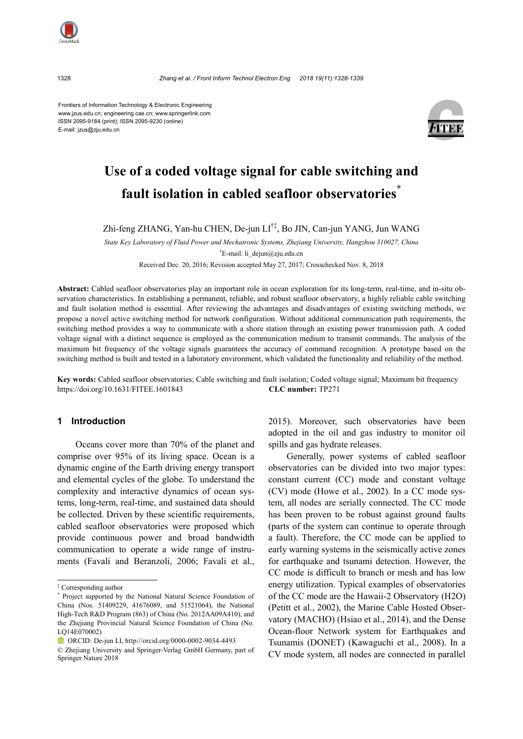

Frontiers of Information Technology & Electronic Engineering www.jzus.edu.cn; engineering.cae.cn; www.springerlink.com ISSN 2095-9184 (print); ISSN 2095-9230 (online) E-mail: jzus@zju.edu.cn



# **Use of a coded voltage signal for cable switching and fault isolation in cabled seafloor observatories\***

Zhi-feng ZHANG, Yan-hu CHEN, De-jun LI†‡, Bo JIN, Can-jun YANG, Jun WANG

*State Key Laboratory of Fluid Power and Mechatronic Systems, Zhejiang University, Hangzhou 310027, China*

† E-mail: li\_dejun@zju.edu.cn

Received Dec. 20, 2016; Revision accepted May 27, 2017; Crosschecked Nov. 8, 2018

**Abstract:** Cabled seafloor observatories play an important role in ocean exploration for its long-term, real-time, and in-situ observation characteristics. In establishing a permanent, reliable, and robust seafloor observatory, a highly reliable cable switching and fault isolation method is essential. After reviewing the advantages and disadvantages of existing switching methods, we propose a novel active switching method for network configuration. Without additional communication path requirements, the switching method provides a way to communicate with a shore station through an existing power transmission path. A coded voltage signal with a distinct sequence is employed as the communication medium to transmit commands. The analysis of the maximum bit frequency of the voltage signals guarantees the accuracy of command recognition. A prototype based on the switching method is built and tested in a laboratory environment, which validated the functionality and reliability of the method.

**Key words:** Cabled seafloor observatories; Cable switching and fault isolation; Coded voltage signal; Maximum bit frequency https://doi.org/10.1631/FITEE.1601843 **CLC number:** TP271

## **1 Introduction**

Oceans cover more than 70% of the planet and comprise over 95% of its living space. Ocean is a dynamic engine of the Earth driving energy transport and elemental cycles of the globe. To understand the complexity and interactive dynamics of ocean systems, long-term, real-time, and sustained data should be collected. Driven by these scientific requirements, cabled seafloor observatories were proposed which provide continuous power and broad bandwidth communication to operate a wide range of instruments (Favali and Beranzoli, 2006; Favali et al.,

2015). Moreover, such observatories have been adopted in the oil and gas industry to monitor oil spills and gas hydrate releases.

Generally, power systems of cabled seafloor observatories can be divided into two major types: constant current (CC) mode and constant voltage (CV) mode (Howe et al., 2002). In a CC mode system, all nodes are serially connected. The CC mode has been proven to be robust against ground faults (parts of the system can continue to operate through a fault). Therefore, the CC mode can be applied to early warning systems in the seismically active zones for earthquake and tsunami detection. However, the CC mode is difficult to branch or mesh and has low energy utilization. Typical examples of observatories of the CC mode are the Hawaii-2 Observatory (H2O) (Petitt et al., 2002), the Marine Cable Hosted Observatory (MACHO) (Hsiao et al., 2014), and the Dense Ocean-floor Network system for Earthquakes and Tsunamis (DONET) (Kawaguchi et al., 2008). In a CV mode system, all nodes are connected in parallel

<sup>‡</sup> Corresponding author

<sup>\*</sup> Project supported by the National Natural Science Foundation of China (Nos. 51409229, 41676089, and 51521064), the National High-Tech R&D Program (863) of China (No. 2012AA09A410), and the Zhejiang Provincial Natural Science Foundation of China (No. LQ14E070002)

ORCID: De-jun LI, [http://orcid.org/0](http://orcid.org/0000-0002-6574-1542)000-0002-9034-4493

<sup>©</sup> Zhejiang University and Springer-Verlag GmbH Germany, part of Springer Nature 2018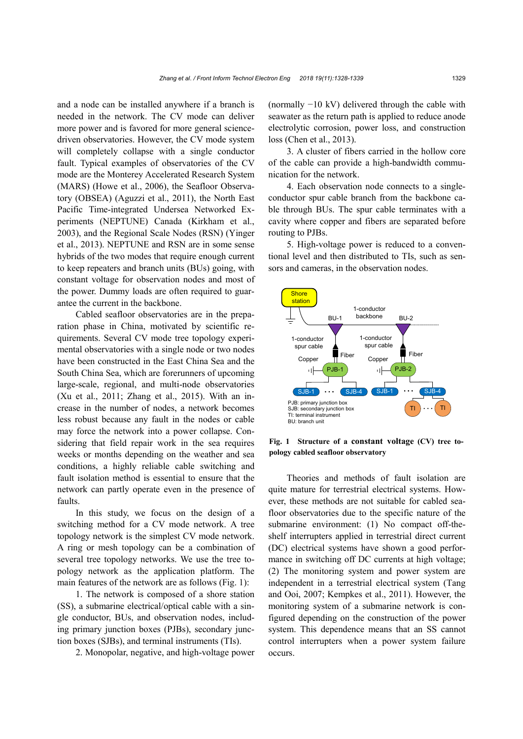and a node can be installed anywhere if a branch is needed in the network. The CV mode can deliver more power and is favored for more general sciencedriven observatories. However, the CV mode system will completely collapse with a single conductor fault. Typical examples of observatories of the CV mode are the Monterey Accelerated Research System (MARS) (Howe et al., 2006), the Seafloor Observatory (OBSEA) (Aguzzi et al., 2011), the North East Pacific Time-integrated Undersea Networked Experiments (NEPTUNE) Canada (Kirkham et al., 2003), and the Regional Scale Nodes (RSN) (Yinger et al., 2013). NEPTUNE and RSN are in some sense hybrids of the two modes that require enough current to keep repeaters and branch units (BUs) going, with constant voltage for observation nodes and most of the power. Dummy loads are often required to guarantee the current in the backbone.

Cabled seafloor observatories are in the preparation phase in China, motivated by scientific requirements. Several CV mode tree topology experimental observatories with a single node or two nodes have been constructed in the East China Sea and the South China Sea, which are forerunners of upcoming large-scale, regional, and multi-node observatories (Xu et al., 2011; Zhang et al., 2015). With an increase in the number of nodes, a network becomes less robust because any fault in the nodes or cable may force the network into a power collapse. Considering that field repair work in the sea requires weeks or months depending on the weather and sea conditions, a highly reliable cable switching and fault isolation method is essential to ensure that the network can partly operate even in the presence of faults.

In this study, we focus on the design of a switching method for a CV mode network. A tree topology network is the simplest CV mode network. A ring or mesh topology can be a combination of several tree topology networks. We use the tree topology network as the application platform. The main features of the network are as follows (Fig. 1):

1. The network is composed of a shore station (SS), a submarine electrical/optical cable with a single conductor, BUs, and observation nodes, including primary junction boxes (PJBs), secondary junction boxes (SJBs), and terminal instruments (TIs).

2. Monopolar, negative, and high-voltage power

(normally −10 kV) delivered through the cable with seawater as the return path is applied to reduce anode electrolytic corrosion, power loss, and construction loss (Chen et al., 2013).

3. A cluster of fibers carried in the hollow core of the cable can provide a high-bandwidth communication for the network.

4. Each observation node connects to a singleconductor spur cable branch from the backbone cable through BUs. The spur cable terminates with a cavity where copper and fibers are separated before routing to PJBs.

5. High-voltage power is reduced to a conventional level and then distributed to TIs, such as sensors and cameras, in the observation nodes.



**Fig. 1 Structure of a constant voltage (CV) tree topology cabled seafloor observatory**

Theories and methods of fault isolation are quite mature for terrestrial electrical systems. However, these methods are not suitable for cabled seafloor observatories due to the specific nature of the submarine environment: (1) No compact off-theshelf interrupters applied in terrestrial direct current (DC) electrical systems have shown a good performance in switching off DC currents at high voltage; (2) The monitoring system and power system are independent in a terrestrial electrical system (Tang and Ooi, 2007; Kempkes et al., 2011). However, the monitoring system of a submarine network is configured depending on the construction of the power system. This dependence means that an SS cannot control interrupters when a power system failure occurs.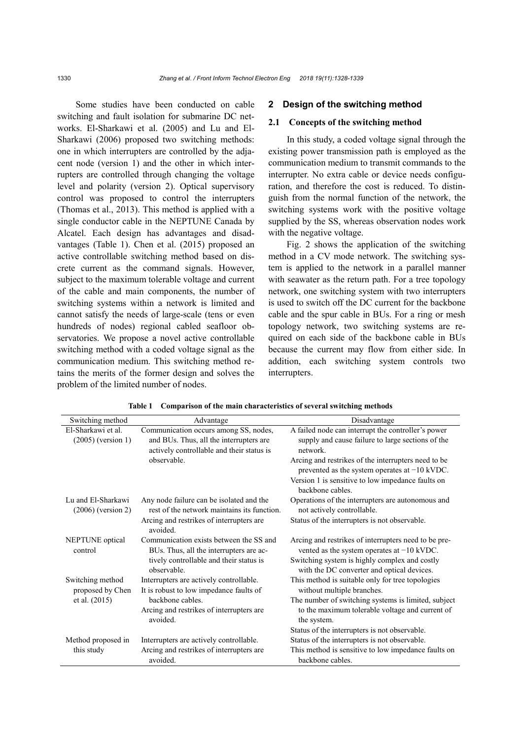Some studies have been conducted on cable switching and fault isolation for submarine DC networks. El-Sharkawi et al. (2005) and Lu and El-Sharkawi (2006) proposed two switching methods: one in which interrupters are controlled by the adjacent node (version 1) and the other in which interrupters are controlled through changing the voltage level and polarity (version 2). Optical supervisory control was proposed to control the interrupters (Thomas et al., 2013). This method is applied with a single conductor cable in the NEPTUNE Canada by Alcatel. Each design has advantages and disadvantages (Table 1). Chen et al. (2015) proposed an active controllable switching method based on discrete current as the command signals. However, subject to the maximum tolerable voltage and current of the cable and main components, the number of switching systems within a network is limited and cannot satisfy the needs of large-scale (tens or even hundreds of nodes) regional cabled seafloor observatories. We propose a novel active controllable switching method with a coded voltage signal as the communication medium. This switching method retains the merits of the former design and solves the problem of the limited number of nodes.

# **2 Design of the switching method**

### **2.1 Concepts of the switching method**

In this study, a coded voltage signal through the existing power transmission path is employed as the communication medium to transmit commands to the interrupter. No extra cable or device needs configuration, and therefore the cost is reduced. To distinguish from the normal function of the network, the switching systems work with the positive voltage supplied by the SS, whereas observation nodes work with the negative voltage.

Fig. 2 shows the application of the switching method in a CV mode network. The switching system is applied to the network in a parallel manner with seawater as the return path. For a tree topology network, one switching system with two interrupters is used to switch off the DC current for the backbone cable and the spur cable in BUs. For a ring or mesh topology network, two switching systems are required on each side of the backbone cable in BUs because the current may flow from either side. In addition, each switching system controls two interrupters.

| Switching method                           | Advantage                                                                                                                     | Disadvantage                                                                                                                                                                   |
|--------------------------------------------|-------------------------------------------------------------------------------------------------------------------------------|--------------------------------------------------------------------------------------------------------------------------------------------------------------------------------|
| El-Sharkawi et al.<br>$(2005)$ (version 1) | Communication occurs among SS, nodes,<br>and BUs. Thus, all the interrupters are<br>actively controllable and their status is | A failed node can interrupt the controller's power<br>supply and cause failure to large sections of the<br>network.                                                            |
|                                            | observable.                                                                                                                   | Arcing and restrikes of the interrupters need to be<br>prevented as the system operates at $-10$ kVDC.<br>Version 1 is sensitive to low impedance faults on<br>backbone cables |
| Lu and El-Sharkawi<br>$(2006)$ (version 2) | Any node failure can be isolated and the<br>rest of the network maintains its function.                                       | Operations of the interrupters are autonomous and<br>not actively controllable.                                                                                                |
|                                            | Arcing and restrikes of interrupters are<br>avoided.                                                                          | Status of the interrupters is not observable.                                                                                                                                  |
| NEPTUNE optical<br>control                 | Communication exists between the SS and<br>BUs. Thus, all the interrupters are ac-<br>tively controllable and their status is | Arcing and restrikes of interrupters need to be pre-<br>vented as the system operates at $-10$ kVDC.<br>Switching system is highly complex and costly                          |
| Switching method                           | observable<br>Interrupters are actively controllable.                                                                         | with the DC converter and optical devices.<br>This method is suitable only for tree topologies                                                                                 |
| proposed by Chen                           | It is robust to low impedance faults of                                                                                       | without multiple branches.                                                                                                                                                     |
| et al. (2015)                              | backbone cables.<br>Arcing and restrikes of interrupters are<br>avoided.                                                      | The number of switching systems is limited, subject<br>to the maximum tolerable voltage and current of<br>the system.                                                          |
|                                            |                                                                                                                               | Status of the interrupters is not observable.                                                                                                                                  |
| Method proposed in                         | Interrupters are actively controllable.                                                                                       | Status of the interrupters is not observable.                                                                                                                                  |
| this study                                 | Arcing and restrikes of interrupters are<br>avoided.                                                                          | This method is sensitive to low impedance faults on<br>backbone cables.                                                                                                        |

**Table 1 Comparison of the main characteristics of several switching methods**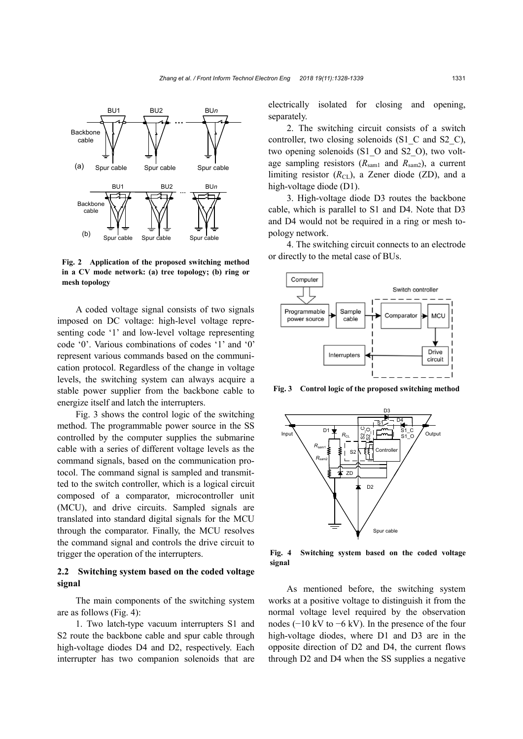

**Fig. 2 Application of the proposed switching method in a CV mode network: (a) tree topology; (b) ring or mesh topology**

A coded voltage signal consists of two signals imposed on DC voltage: high-level voltage representing code '1' and low-level voltage representing code '0'. Various combinations of codes '1' and '0' represent various commands based on the communication protocol. Regardless of the change in voltage levels, the switching system can always acquire a stable power supplier from the backbone cable to energize itself and latch the interrupters.

Fig. 3 shows the control logic of the switching method. The programmable power source in the SS controlled by the computer supplies the submarine cable with a series of different voltage levels as the command signals, based on the communication protocol. The command signal is sampled and transmitted to the switch controller, which is a logical circuit composed of a comparator, microcontroller unit (MCU), and drive circuits. Sampled signals are translated into standard digital signals for the MCU through the comparator. Finally, the MCU resolves the command signal and controls the drive circuit to trigger the operation of the interrupters.

# **2.2 Switching system based on the coded voltage signal**

The main components of the switching system are as follows (Fig. 4):

1. Two latch-type vacuum interrupters S1 and S2 route the backbone cable and spur cable through high-voltage diodes D4 and D2, respectively. Each interrupter has two companion solenoids that are electrically isolated for closing and opening, separately.

2. The switching circuit consists of a switch controller, two closing solenoids (S1\_C and S2\_C), two opening solenoids (S1\_O and S2\_O), two voltage sampling resistors  $(R_{\text{sam1}}$  and  $R_{\text{sam2}})$ , a current limiting resistor  $(R<sub>CL</sub>)$ , a Zener diode (ZD), and a high-voltage diode (D1).

3. High-voltage diode D3 routes the backbone cable, which is parallel to S1 and D4. Note that D3 and D4 would not be required in a ring or mesh topology network.

4. The switching circuit connects to an electrode or directly to the metal case of BUs.



**Fig. 3 Control logic of the proposed switching method**



**Fig. 4 Switching system based on the coded voltage signal**

As mentioned before, the switching system works at a positive voltage to distinguish it from the normal voltage level required by the observation nodes (−10 kV to −6 kV). In the presence of the four high-voltage diodes, where D1 and D3 are in the opposite direction of D2 and D4, the current flows through D2 and D4 when the SS supplies a negative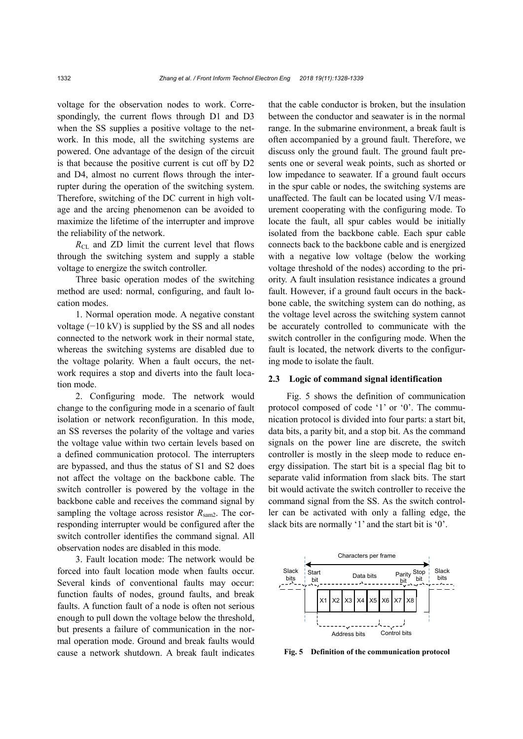voltage for the observation nodes to work. Correspondingly, the current flows through D1 and D3 when the SS supplies a positive voltage to the network. In this mode, all the switching systems are powered. One advantage of the design of the circuit is that because the positive current is cut off by D2 and D4, almost no current flows through the interrupter during the operation of the switching system. Therefore, switching of the DC current in high voltage and the arcing phenomenon can be avoided to maximize the lifetime of the interrupter and improve the reliability of the network.

 $R_{CL}$  and ZD limit the current level that flows through the switching system and supply a stable voltage to energize the switch controller.

Three basic operation modes of the switching method are used: normal, configuring, and fault location modes.

1. Normal operation mode. A negative constant voltage  $(-10 \text{ kV})$  is supplied by the SS and all nodes connected to the network work in their normal state, whereas the switching systems are disabled due to the voltage polarity. When a fault occurs, the network requires a stop and diverts into the fault location mode.

2. Configuring mode. The network would change to the configuring mode in a scenario of fault isolation or network reconfiguration. In this mode, an SS reverses the polarity of the voltage and varies the voltage value within two certain levels based on a defined communication protocol. The interrupters are bypassed, and thus the status of S1 and S2 does not affect the voltage on the backbone cable. The switch controller is powered by the voltage in the backbone cable and receives the command signal by sampling the voltage across resistor  $R_{\text{sam2}}$ . The corresponding interrupter would be configured after the switch controller identifies the command signal. All observation nodes are disabled in this mode.

3. Fault location mode: The network would be forced into fault location mode when faults occur. Several kinds of conventional faults may occur: function faults of nodes, ground faults, and break faults. A function fault of a node is often not serious enough to pull down the voltage below the threshold, but presents a failure of communication in the normal operation mode. Ground and break faults would cause a network shutdown. A break fault indicates

that the cable conductor is broken, but the insulation between the conductor and seawater is in the normal range. In the submarine environment, a break fault is often accompanied by a ground fault. Therefore, we discuss only the ground fault. The ground fault presents one or several weak points, such as shorted or low impedance to seawater. If a ground fault occurs in the spur cable or nodes, the switching systems are unaffected. The fault can be located using V/I measurement cooperating with the configuring mode. To locate the fault, all spur cables would be initially isolated from the backbone cable. Each spur cable connects back to the backbone cable and is energized with a negative low voltage (below the working voltage threshold of the nodes) according to the priority. A fault insulation resistance indicates a ground fault. However, if a ground fault occurs in the backbone cable, the switching system can do nothing, as the voltage level across the switching system cannot be accurately controlled to communicate with the switch controller in the configuring mode. When the fault is located, the network diverts to the configuring mode to isolate the fault.

## **2.3 Logic of command signal identification**

Fig. 5 shows the definition of communication protocol composed of code '1' or '0'. The communication protocol is divided into four parts: a start bit, data bits, a parity bit, and a stop bit. As the command signals on the power line are discrete, the switch controller is mostly in the sleep mode to reduce energy dissipation. The start bit is a special flag bit to separate valid information from slack bits. The start bit would activate the switch controller to receive the command signal from the SS. As the switch controller can be activated with only a falling edge, the slack bits are normally '1' and the start bit is '0'.



**Fig. 5 Definition of the communication protocol**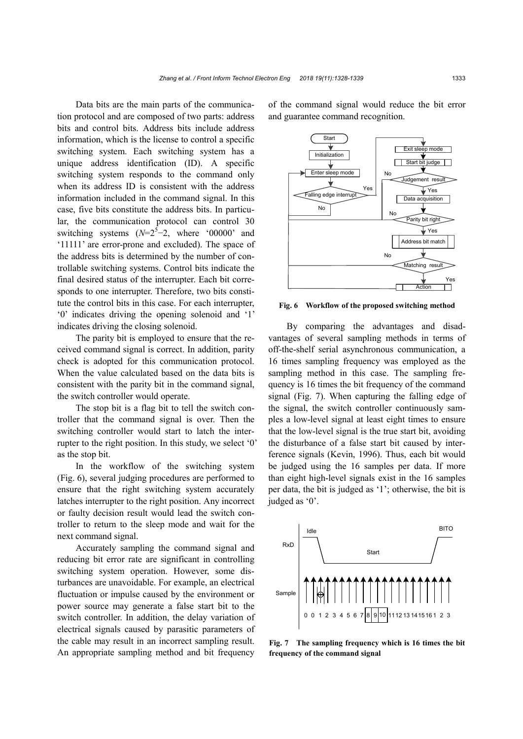Data bits are the main parts of the communication protocol and are composed of two parts: address bits and control bits. Address bits include address information, which is the license to control a specific switching system. Each switching system has a unique address identification (ID). A specific switching system responds to the command only when its address ID is consistent with the address information included in the command signal. In this case, five bits constitute the address bits. In particular, the communication protocol can control 30 switching systems  $(N=2<sup>5</sup>-2)$ , where '00000' and '11111' are error-prone and excluded). The space of the address bits is determined by the number of controllable switching systems. Control bits indicate the final desired status of the interrupter. Each bit corresponds to one interrupter. Therefore, two bits constitute the control bits in this case. For each interrupter, '0' indicates driving the opening solenoid and '1' indicates driving the closing solenoid.

The parity bit is employed to ensure that the received command signal is correct. In addition, parity check is adopted for this communication protocol. When the value calculated based on the data bits is consistent with the parity bit in the command signal, the switch controller would operate.

The stop bit is a flag bit to tell the switch controller that the command signal is over. Then the switching controller would start to latch the interrupter to the right position. In this study, we select '0' as the stop bit.

In the workflow of the switching system (Fig. 6), several judging procedures are performed to ensure that the right switching system accurately latches interrupter to the right position. Any incorrect or faulty decision result would lead the switch controller to return to the sleep mode and wait for the next command signal.

Accurately sampling the command signal and reducing bit error rate are significant in controlling switching system operation. However, some disturbances are unavoidable. For example, an electrical fluctuation or impulse caused by the environment or power source may generate a false start bit to the switch controller. In addition, the delay variation of electrical signals caused by parasitic parameters of the cable may result in an incorrect sampling result. An appropriate sampling method and bit frequency of the command signal would reduce the bit error and guarantee command recognition.



#### **Fig. 6 Workflow of the proposed switching method**

By comparing the advantages and disadvantages of several sampling methods in terms of off-the-shelf serial asynchronous communication, a 16 times sampling frequency was employed as the sampling method in this case. The sampling frequency is 16 times the bit frequency of the command signal (Fig. 7). When capturing the falling edge of the signal, the switch controller continuously samples a low-level signal at least eight times to ensure that the low-level signal is the true start bit, avoiding the disturbance of a false start bit caused by interference signals (Kevin, 1996). Thus, each bit would be judged using the 16 samples per data. If more than eight high-level signals exist in the 16 samples per data, the bit is judged as '1'; otherwise, the bit is judged as '0'.



**Fig. 7 The sampling frequency which is 16 times the bit frequency of the command signal**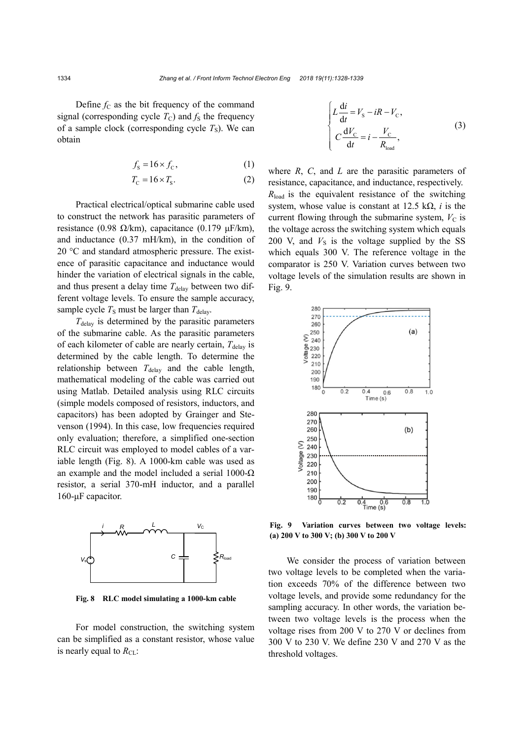Define  $f_C$  as the bit frequency of the command signal (corresponding cycle  $T<sub>C</sub>$ ) and  $f<sub>S</sub>$  the frequency of a sample clock (corresponding cycle  $T<sub>S</sub>$ ). We can obtain

$$
f_{\rm S} = 16 \times f_{\rm C},\tag{1}
$$

$$
T_{\rm C} = 16 \times T_{\rm s}.\tag{2}
$$

Practical electrical/optical submarine cable used to construct the network has parasitic parameters of resistance (0.98 Ω/km), capacitance (0.179 μF/km), and inductance (0.37 mH/km), in the condition of 20 °C and standard atmospheric pressure. The existence of parasitic capacitance and inductance would hinder the variation of electrical signals in the cable, and thus present a delay time  $T_{\text{delay}}$  between two different voltage levels. To ensure the sample accuracy, sample cycle  $T_S$  must be larger than  $T_{\text{delay}}$ .

 $T_{\text{delay}}$  is determined by the parasitic parameters of the submarine cable. As the parasitic parameters of each kilometer of cable are nearly certain,  $T_{\text{delay}}$  is determined by the cable length. To determine the relationship between  $T_{\text{delay}}$  and the cable length, mathematical modeling of the cable was carried out using Matlab. Detailed analysis using RLC circuits (simple models composed of resistors, inductors, and capacitors) has been adopted by Grainger and Stevenson (1994). In this case, low frequencies required only evaluation; therefore, a simplified one-section RLC circuit was employed to model cables of a variable length (Fig. 8). A 1000-km cable was used as an example and the model included a serial 1000-Ω resistor, a serial 370-mH inductor, and a parallel 160-μF capacitor.



**Fig. 8 RLC model simulating a 1000-km cable**

For model construction, the switching system can be simplified as a constant resistor, whose value is nearly equal to  $R_{CL}$ :

$$
\begin{cases}\nL\frac{di}{dt} = V_{\rm s} - iR - V_{\rm c}, \\
C\frac{dV_{\rm c}}{dt} = i - \frac{V_{\rm c}}{R_{\rm load}},\n\end{cases}
$$
\n(3)

where *R*, *C*, and *L* are the parasitic parameters of resistance, capacitance, and inductance, respectively. *R*load is the equivalent resistance of the switching system, whose value is constant at  $12.5 \text{ k}\Omega$ , *i* is the current flowing through the submarine system,  $V<sub>C</sub>$  is the voltage across the switching system which equals 200 V, and  $V<sub>S</sub>$  is the voltage supplied by the SS which equals 300 V. The reference voltage in the comparator is 250 V. Variation curves between two voltage levels of the simulation results are shown in Fig. 9.



**Fig. 9 Variation curves between two voltage levels: (a) 200 V to 300 V; (b) 300 V to 200 V**

We consider the process of variation between two voltage levels to be completed when the variation exceeds 70% of the difference between two voltage levels, and provide some redundancy for the sampling accuracy. In other words, the variation between two voltage levels is the process when the voltage rises from 200 V to 270 V or declines from 300 V to 230 V. We define 230 V and 270 V as the threshold voltages.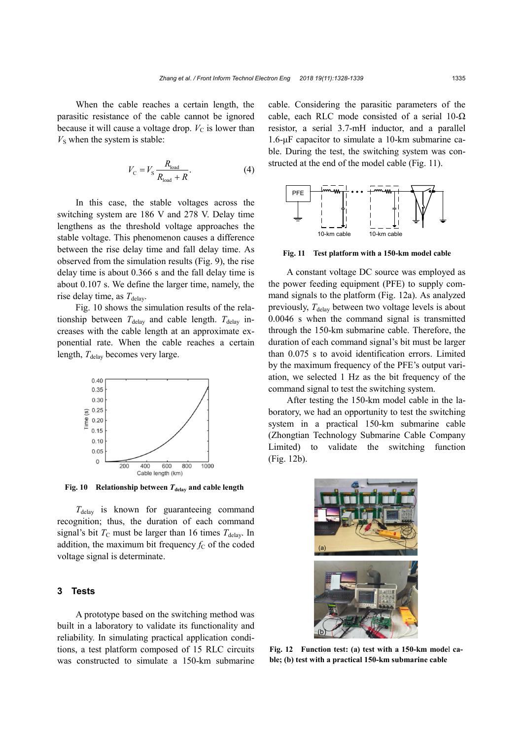When the cable reaches a certain length, the parasitic resistance of the cable cannot be ignored because it will cause a voltage drop.  $V<sub>C</sub>$  is lower than  $V<sub>S</sub>$  when the system is stable:

$$
V_{\rm C} = V_{\rm S} \frac{R_{\rm load}}{R_{\rm load} + R}.
$$
 (4)

In this case, the stable voltages across the switching system are 186 V and 278 V. Delay time lengthens as the threshold voltage approaches the stable voltage. This phenomenon causes a difference between the rise delay time and fall delay time. As observed from the simulation results (Fig. 9), the rise delay time is about 0.366 s and the fall delay time is about 0.107 s. We define the larger time, namely, the rise delay time, as  $T_{\text{delay}}$ .

Fig. 10 shows the simulation results of the relationship between  $T_{\text{delay}}$  and cable length.  $T_{\text{delay}}$  increases with the cable length at an approximate exponential rate. When the cable reaches a certain length,  $T_{\text{delay}}$  becomes very large.



**Fig. 10** Relationship between  $T_{delay}$  and cable length

*T*delay is known for guaranteeing command recognition; thus, the duration of each command signal's bit  $T_c$  must be larger than 16 times  $T_{\text{delay}}$ . In addition, the maximum bit frequency  $f_C$  of the coded voltage signal is determinate.

## **3 Tests**

A prototype based on the switching method was built in a laboratory to validate its functionality and reliability. In simulating practical application conditions, a test platform composed of 15 RLC circuits was constructed to simulate a 150-km submarine

cable. Considering the parasitic parameters of the cable, each RLC mode consisted of a serial 10-Ω resistor, a serial 3.7-mH inductor, and a parallel 1.6-μF capacitor to simulate a 10-km submarine cable. During the test, the switching system was constructed at the end of the model cable (Fig. 11).



**Fig. 11 Test platform with a 150-km model cable**

A constant voltage DC source was employed as the power feeding equipment (PFE) to supply command signals to the platform (Fig. 12a). As analyzed previously,  $T_{\text{delay}}$  between two voltage levels is about 0.0046 s when the command signal is transmitted through the 150-km submarine cable. Therefore, the duration of each command signal's bit must be larger than 0.075 s to avoid identification errors. Limited by the maximum frequency of the PFE's output variation, we selected 1 Hz as the bit frequency of the command signal to test the switching system.

After testing the 150-km model cable in the laboratory, we had an opportunity to test the switching system in a practical 150-km submarine cable (Zhongtian Technology Submarine Cable Company Limited) to validate the switching function (Fig. 12b).



**Fig. 12 Function test: (a) test with a 150-km mode**l **cable; (b) test with a practical 150-km submarine cable**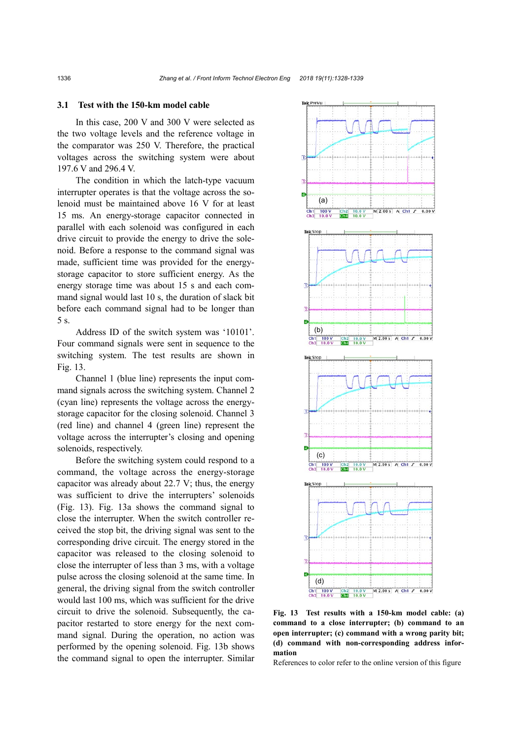## **3.1 Test with the 150-km model cable**

In this case, 200 V and 300 V were selected as the two voltage levels and the reference voltage in the comparator was 250 V. Therefore, the practical voltages across the switching system were about 197.6 V and 296.4 V.

The condition in which the latch-type vacuum interrupter operates is that the voltage across the solenoid must be maintained above 16 V for at least 15 ms. An energy-storage capacitor connected in parallel with each solenoid was configured in each drive circuit to provide the energy to drive the solenoid. Before a response to the command signal was made, sufficient time was provided for the energystorage capacitor to store sufficient energy. As the energy storage time was about 15 s and each command signal would last 10 s, the duration of slack bit before each command signal had to be longer than 5 s.

Address ID of the switch system was '10101'. Four command signals were sent in sequence to the switching system. The test results are shown in Fig. 13.

Channel 1 (blue line) represents the input command signals across the switching system. Channel 2 (cyan line) represents the voltage across the energystorage capacitor for the closing solenoid. Channel 3 (red line) and channel 4 (green line) represent the voltage across the interrupter's closing and opening solenoids, respectively.

Before the switching system could respond to a command, the voltage across the energy-storage capacitor was already about 22.7 V; thus, the energy was sufficient to drive the interrupters' solenoids (Fig. 13). Fig. 13a shows the command signal to close the interrupter. When the switch controller received the stop bit, the driving signal was sent to the corresponding drive circuit. The energy stored in the capacitor was released to the closing solenoid to close the interrupter of less than 3 ms, with a voltage pulse across the closing solenoid at the same time. In general, the driving signal from the switch controller would last 100 ms, which was sufficient for the drive circuit to drive the solenoid. Subsequently, the capacitor restarted to store energy for the next command signal. During the operation, no action was performed by the opening solenoid. Fig. 13b shows the command signal to open the interrupter. Similar



**Fig. 13 Test results with a 150-km model cable: (a) command to a close interrupter; (b) command to an open interrupter; (c) command with a wrong parity bit; (d) command with non-corresponding address information**

References to color refer to the online version of this figure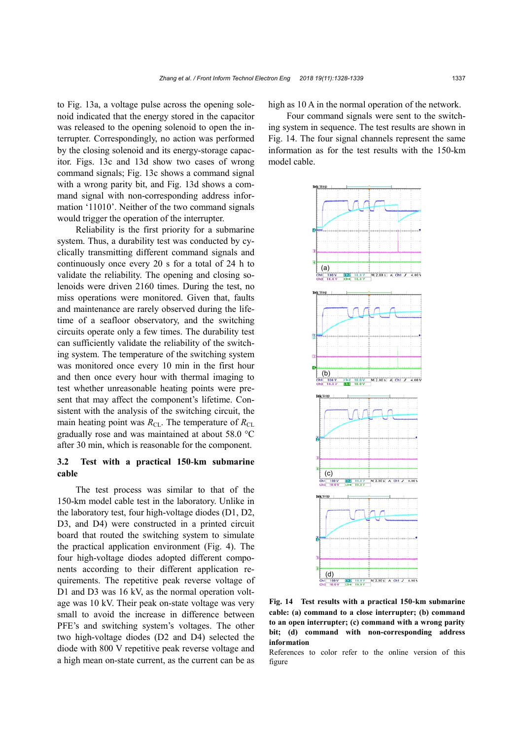to Fig. 13a, a voltage pulse across the opening solenoid indicated that the energy stored in the capacitor was released to the opening solenoid to open the interrupter. Correspondingly, no action was performed by the closing solenoid and its energy-storage capacitor. Figs. 13c and 13d show two cases of wrong command signals; Fig. 13c shows a command signal with a wrong parity bit, and Fig. 13d shows a command signal with non-corresponding address information '11010'. Neither of the two command signals would trigger the operation of the interrupter.

Reliability is the first priority for a submarine system. Thus, a durability test was conducted by cyclically transmitting different command signals and continuously once every 20 s for a total of 24 h to validate the reliability. The opening and closing solenoids were driven 2160 times. During the test, no miss operations were monitored. Given that, faults and maintenance are rarely observed during the lifetime of a seafloor observatory, and the switching circuits operate only a few times. The durability test can sufficiently validate the reliability of the switching system. The temperature of the switching system was monitored once every 10 min in the first hour and then once every hour with thermal imaging to test whether unreasonable heating points were present that may affect the component's lifetime. Consistent with the analysis of the switching circuit, the main heating point was  $R_{CL}$ . The temperature of  $R_{CL}$ gradually rose and was maintained at about 58.0 °C after 30 min, which is reasonable for the component.

# **3.2 Test with a practical 150**-**km submarine cable**

The test process was similar to that of the 150-km model cable test in the laboratory. Unlike in the laboratory test, four high-voltage diodes (D1, D2, D3, and D4) were constructed in a printed circuit board that routed the switching system to simulate the practical application environment (Fig. 4). The four high-voltage diodes adopted different components according to their different application requirements. The repetitive peak reverse voltage of D1 and D3 was 16 kV, as the normal operation voltage was 10 kV. Their peak on-state voltage was very small to avoid the increase in difference between PFE's and switching system's voltages. The other two high-voltage diodes (D2 and D4) selected the diode with 800 V repetitive peak reverse voltage and a high mean on-state current, as the current can be as

high as 10 A in the normal operation of the network.

Four command signals were sent to the switching system in sequence. The test results are shown in Fig. 14. The four signal channels represent the same information as for the test results with the 150-km model cable.



**Fig. 14 Test results with a practical 150**-**km submarine cable: (a) command to a close interrupter; (b) command to an open interrupter; (c) command with a wrong parity bit; (d) command with non-corresponding address information**

References to color refer to the online version of this figure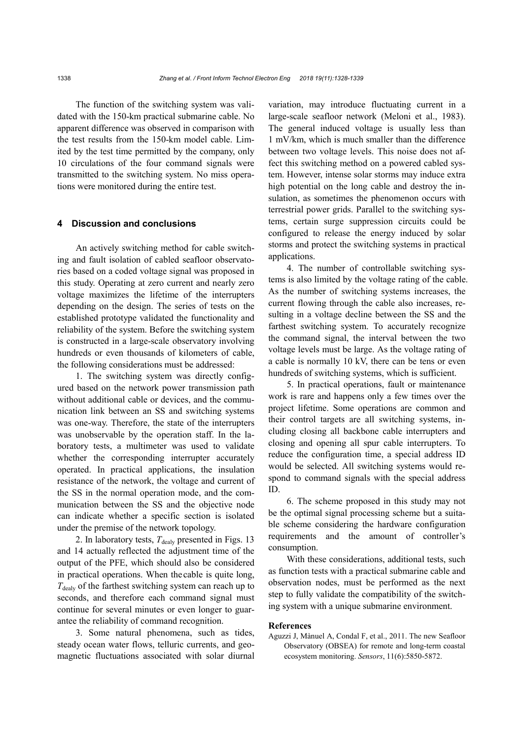The function of the switching system was validated with the 150-km practical submarine cable. No apparent difference was observed in comparison with the test results from the 150-km model cable. Limited by the test time permitted by the company, only 10 circulations of the four command signals were transmitted to the switching system. No miss operations were monitored during the entire test.

## **4 Discussion and conclusions**

An actively switching method for cable switching and fault isolation of cabled seafloor observatories based on a coded voltage signal was proposed in this study. Operating at zero current and nearly zero voltage maximizes the lifetime of the interrupters depending on the design. The series of tests on the established prototype validated the functionality and reliability of the system. Before the switching system is constructed in a large-scale observatory involving hundreds or even thousands of kilometers of cable, the following considerations must be addressed:

1. The switching system was directly configured based on the network power transmission path without additional cable or devices, and the communication link between an SS and switching systems was one-way. Therefore, the state of the interrupters was unobservable by the operation staff. In the laboratory tests, a multimeter was used to validate whether the corresponding interrupter accurately operated. In practical applications, the insulation resistance of the network, the voltage and current of the SS in the normal operation mode, and the communication between the SS and the objective node can indicate whether a specific section is isolated under the premise of the network topology.

2. In laboratory tests, T<sub>dealy</sub> presented in Figs. 13 and 14 actually reflected the adjustment time of the output of the PFE, which should also be considered in practical operations. When the cable is quite long,  $T_{\text{delay}}$  of the farthest switching system can reach up to seconds, and therefore each command signal must continue for several minutes or even longer to guarantee the reliability of command recognition.

3. Some natural phenomena, such as tides, steady ocean water flows, telluric currents, and geomagnetic fluctuations associated with solar diurnal variation, may introduce fluctuating current in a large-scale seafloor network (Meloni et al., 1983). The general induced voltage is usually less than 1 mV/km, which is much smaller than the difference between two voltage levels. This noise does not affect this switching method on a powered cabled system. However, intense solar storms may induce extra high potential on the long cable and destroy the insulation, as sometimes the phenomenon occurs with terrestrial power grids. Parallel to the switching systems, certain surge suppression circuits could be configured to release the energy induced by solar storms and protect the switching systems in practical applications.

4. The number of controllable switching systems is also limited by the voltage rating of the cable. As the number of switching systems increases, the current flowing through the cable also increases, resulting in a voltage decline between the SS and the farthest switching system. To accurately recognize the command signal, the interval between the two voltage levels must be large. As the voltage rating of a cable is normally 10 kV, there can be tens or even hundreds of switching systems, which is sufficient.

5. In practical operations, fault or maintenance work is rare and happens only a few times over the project lifetime. Some operations are common and their control targets are all switching systems, including closing all backbone cable interrupters and closing and opening all spur cable interrupters. To reduce the configuration time, a special address ID would be selected. All switching systems would respond to command signals with the special address ID.

6. The scheme proposed in this study may not be the optimal signal processing scheme but a suitable scheme considering the hardware configuration requirements and the amount of controller's consumption.

With these considerations, additional tests, such as function tests with a practical submarine cable and observation nodes, must be performed as the next step to fully validate the compatibility of the switching system with a unique submarine environment.

#### **References**

Aguzzi J, Mànuel A, Condal F, et al., 2011. The new Seafloor Observatory (OBSEA) for remote and long-term coastal ecosystem monitoring. *Sensors*, 11(6):5850-5872.